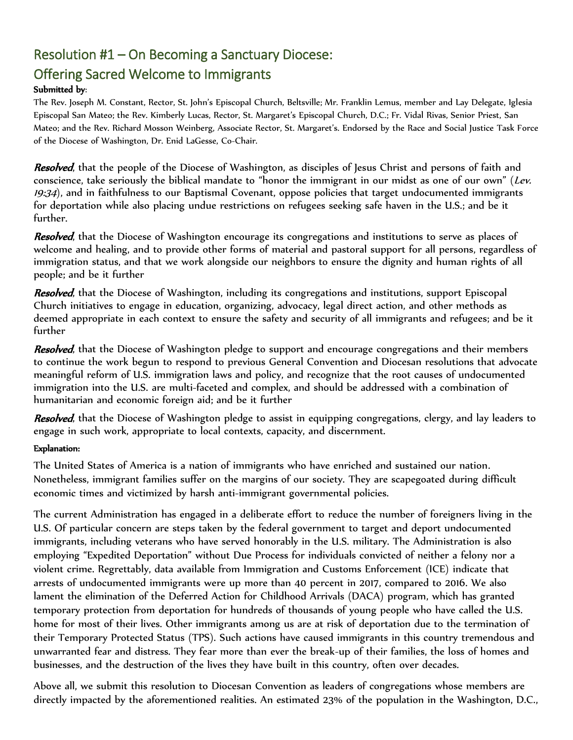## Resolution #1 – On Becoming a Sanctuary Diocese:

## Offering Sacred Welcome to Immigrants

## Submitted by:

The Rev. Joseph M. Constant, Rector, St. John's Episcopal Church, Beltsville; Mr. Franklin Lemus, member and Lay Delegate, Iglesia Episcopal San Mateo; the Rev. Kimberly Lucas, Rector, St. Margaret's Episcopal Church, D.C.; Fr. Vidal Rivas, Senior Priest, San Mateo; and the Rev. Richard Mosson Weinberg, Associate Rector, St. Margaret's. Endorsed by the Race and Social Justice Task Force of the Diocese of Washington, Dr. Enid LaGesse, Co-Chair.

Resolved, that the people of the Diocese of Washington, as disciples of Jesus Christ and persons of faith and conscience, take seriously the biblical mandate to "honor the immigrant in our midst as one of our own" (Lev. 19:34), and in faithfulness to our Baptismal Covenant, oppose policies that target undocumented immigrants for deportation while also placing undue restrictions on refugees seeking safe haven in the U.S.; and be it further.

Resolved, that the Diocese of Washington encourage its congregations and institutions to serve as places of welcome and healing, and to provide other forms of material and pastoral support for all persons, regardless of immigration status, and that we work alongside our neighbors to ensure the dignity and human rights of all people; and be it further

Resolved, that the Diocese of Washington, including its congregations and institutions, support Episcopal Church initiatives to engage in education, organizing, advocacy, legal direct action, and other methods as deemed appropriate in each context to ensure the safety and security of all immigrants and refugees; and be it further

Resolved, that the Diocese of Washington pledge to support and encourage congregations and their members to continue the work begun to respond to previous General Convention and Diocesan resolutions that advocate meaningful reform of U.S. immigration laws and policy, and recognize that the root causes of undocumented immigration into the U.S. are multi-faceted and complex, and should be addressed with a combination of humanitarian and economic foreign aid; and be it further

Resolved, that the Diocese of Washington pledge to assist in equipping congregations, clergy, and lay leaders to engage in such work, appropriate to local contexts, capacity, and discernment.

## Explanation:

The United States of America is a nation of immigrants who have enriched and sustained our nation. Nonetheless, immigrant families suffer on the margins of our society. They are scapegoated during difficult economic times and victimized by harsh anti-immigrant governmental policies.

The current Administration has engaged in a deliberate effort to reduce the number of foreigners living in the U.S. Of particular concern are steps taken by the federal government to target and deport undocumented immigrants, including veterans who have served honorably in the U.S. military. The Administration is also employing "Expedited Deportation" without Due Process for individuals convicted of neither a felony nor a violent crime. Regrettably, data available from Immigration and Customs Enforcement (ICE) indicate that arrests of undocumented immigrants were up more than 40 percent in 2017, compared to 2016. We also lament the elimination of the Deferred Action for Childhood Arrivals (DACA) program, which has granted temporary protection from deportation for hundreds of thousands of young people who have called the U.S. home for most of their lives. Other immigrants among us are at risk of deportation due to the termination of their Temporary Protected Status (TPS). Such actions have caused immigrants in this country tremendous and unwarranted fear and distress. They fear more than ever the break-up of their families, the loss of homes and businesses, and the destruction of the lives they have built in this country, often over decades.

Above all, we submit this resolution to Diocesan Convention as leaders of congregations whose members are directly impacted by the aforementioned realities. An estimated 23% of the population in the Washington, D.C.,